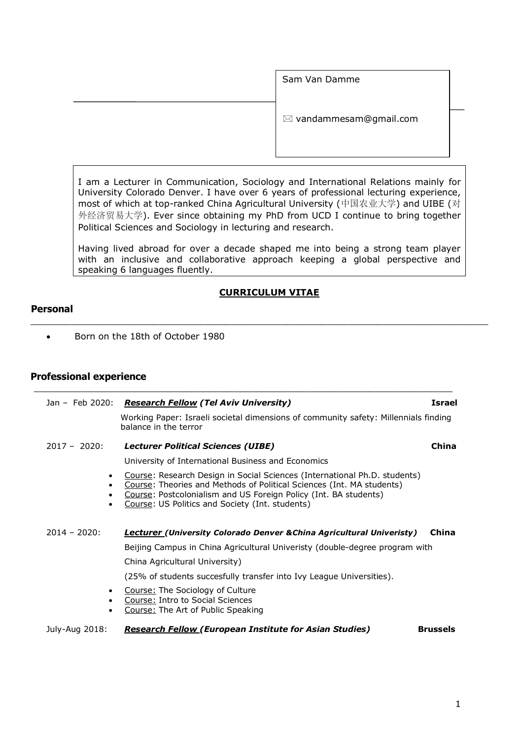Sam Van Damme  $\boxtimes$  vandammesam@gmail.com

I am a Lecturer in Communication, Sociology and International Relations mainly for University Colorado Denver. I have over 6 years of professional lecturing experience, most of which at top-ranked China Agricultural University (中国农业大学) and UIBE (对 外经济贸易大学). Ever since obtaining my PhD from UCD I continue to bring together Political Sciences and Sociology in lecturing and research.

Having lived abroad for over a decade shaped me into being a strong team player with an inclusive and collaborative approach keeping a global perspective and speaking 6 languages fluently.

## **CURRICULUM VITAE**

\_\_\_\_\_\_\_\_\_\_\_\_\_\_\_\_\_\_\_\_\_\_\_\_\_\_\_\_\_\_\_\_\_\_\_\_\_\_\_\_\_\_\_\_\_\_\_\_\_\_\_\_\_\_\_\_\_\_\_\_\_\_\_\_\_\_\_\_\_\_\_\_\_\_\_\_\_\_\_\_\_\_

## **Personal**

• Born on the 18th of October 1980

# **Professional experience**

|                 | Jan - Feb 2020: Research Fellow (Tel Aviv University)                                                                                                                                                                                                                     | <b>Israel</b>   |
|-----------------|---------------------------------------------------------------------------------------------------------------------------------------------------------------------------------------------------------------------------------------------------------------------------|-----------------|
|                 | Working Paper: Israeli societal dimensions of community safety: Millennials finding<br>balance in the terror                                                                                                                                                              |                 |
| $2017 - 2020$ : | <b>Lecturer Political Sciences (UIBE)</b>                                                                                                                                                                                                                                 | China           |
|                 | University of International Business and Economics                                                                                                                                                                                                                        |                 |
|                 | Course: Research Design in Social Sciences (International Ph.D. students)<br>Course: Theories and Methods of Political Sciences (Int. MA students)<br>Course: Postcolonialism and US Foreign Policy (Int. BA students)<br>Course: US Politics and Society (Int. students) |                 |
| $2014 - 2020$ : | <b>Lecturer (University Colorado Denver &amp; China Agricultural Univeristy)</b>                                                                                                                                                                                          | China           |
|                 | Beijing Campus in China Agricultural Univeristy (double-degree program with                                                                                                                                                                                               |                 |
|                 | China Agricultural University)                                                                                                                                                                                                                                            |                 |
|                 | (25% of students succesfully transfer into Ivy League Universities).                                                                                                                                                                                                      |                 |
|                 | Course: The Sociology of Culture<br>Course: Intro to Social Sciences<br>Course: The Art of Public Speaking                                                                                                                                                                |                 |
| July-Aug 2018:  | <b>Research Fellow (European Institute for Asian Studies)</b>                                                                                                                                                                                                             | <b>Brussels</b> |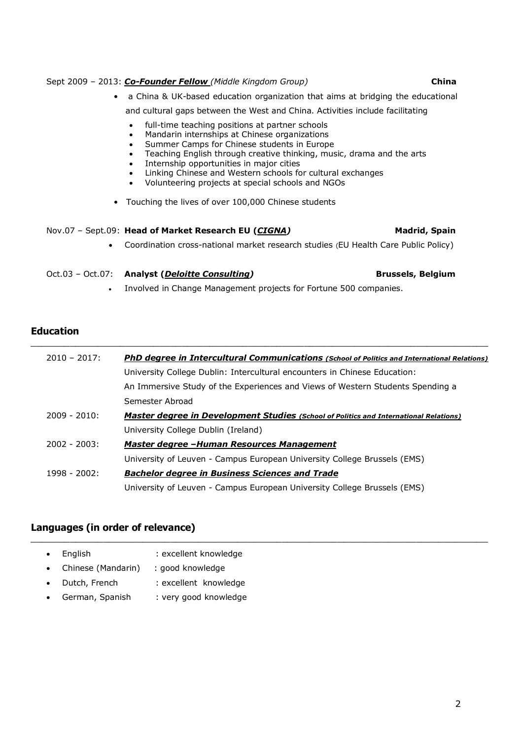## Sept 2009 – 2013: *Co-Founder Fellow (Middle Kingdom Group)* **China**

| $\bullet$ | a China & UK-based education organization that aims at bridging the educational                                                                                                                                                                                                                                                                                                                                |               |
|-----------|----------------------------------------------------------------------------------------------------------------------------------------------------------------------------------------------------------------------------------------------------------------------------------------------------------------------------------------------------------------------------------------------------------------|---------------|
|           | and cultural gaps between the West and China. Activities include facilitating                                                                                                                                                                                                                                                                                                                                  |               |
|           | full-time teaching positions at partner schools<br>٠<br>Mandarin internships at Chinese organizations<br>٠<br>Summer Camps for Chinese students in Europe<br>Teaching English through creative thinking, music, drama and the arts<br>Internship opportunities in major cities<br>Linking Chinese and Western schools for cultural exchanges<br>$\bullet$<br>Volunteering projects at special schools and NGOs |               |
|           | • Touching the lives of over 100,000 Chinese students                                                                                                                                                                                                                                                                                                                                                          |               |
|           | Nov.07 - Sept.09: <b>Head of Market Research EU (CIGNA)</b>                                                                                                                                                                                                                                                                                                                                                    | Madrid, Spain |
| $\bullet$ | Coordination cross-national market research studies (EU Health Care Public Policy)                                                                                                                                                                                                                                                                                                                             |               |

# Oct.03 – Oct.07: **Analyst (***Deloitte Consulting)* **Brussels, Belgium**

• Involved in Change Management projects for Fortune 500 companies.

\_\_\_\_\_\_\_\_\_\_\_\_\_\_\_\_\_\_\_\_\_\_\_\_\_\_\_\_\_\_\_\_\_\_\_\_\_\_\_\_\_\_\_\_\_\_\_\_\_\_\_\_\_\_\_\_\_\_\_\_\_\_\_\_\_\_\_\_\_\_\_\_\_\_\_\_\_\_\_\_\_\_

# **Education**

| $2010 - 2017$ : | <b>PhD degree in Intercultural Communications (School of Politics and International Relations)</b> |
|-----------------|----------------------------------------------------------------------------------------------------|
|                 | University College Dublin: Intercultural encounters in Chinese Education:                          |
|                 | An Immersive Study of the Experiences and Views of Western Students Spending a                     |
|                 | Semester Abroad                                                                                    |
| $2009 - 2010$   | <b>Master degree in Development Studies</b> (School of Politics and International Relations)       |
|                 | University College Dublin (Ireland)                                                                |
| $2002 - 2003$ : | Master degree -Human Resources Management                                                          |
|                 | University of Leuven - Campus European University College Brussels (EMS)                           |
| 1998 - 2002:    | <b>Bachelor degree in Business Sciences and Trade</b>                                              |
|                 | University of Leuven - Campus European University College Brussels (EMS)                           |

\_\_\_\_\_\_\_\_\_\_\_\_\_\_\_\_\_\_\_\_\_\_\_\_\_\_\_\_\_\_\_\_\_\_\_\_\_\_\_\_\_\_\_\_\_\_\_\_\_\_\_\_\_\_\_\_\_\_\_\_\_\_\_\_\_\_\_\_\_\_\_\_\_\_\_\_\_\_\_\_\_\_

# **Languages (in order of relevance)**

- English : excellent knowledge • Chinese (Mandarin) : good knowledge • Dutch, French : excellent knowledge
- German, Spanish : very good knowledge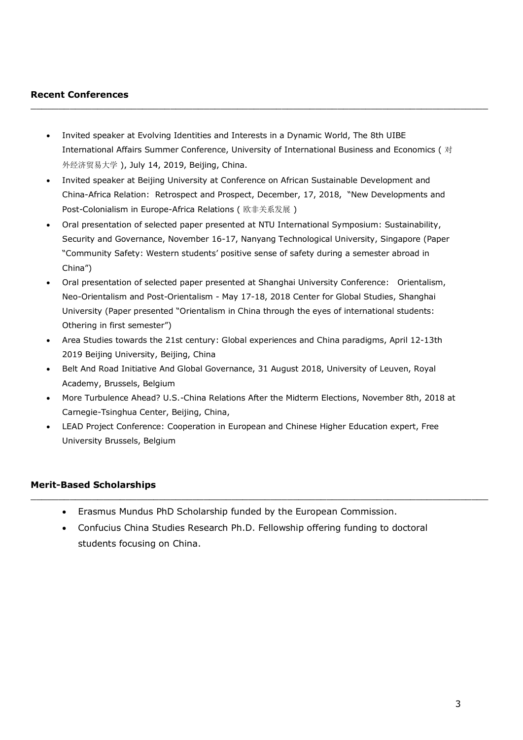## **Recent Conferences**

• Invited speaker at Evolving Identities and Interests in a Dynamic World, The 8th UIBE International Affairs Summer Conference, University of International Business and Economics ( 对 外经济贸易大学 ), July 14, 2019, Beijing, China.

\_\_\_\_\_\_\_\_\_\_\_\_\_\_\_\_\_\_\_\_\_\_\_\_\_\_\_\_\_\_\_\_\_\_\_\_\_\_\_\_\_\_\_\_\_\_\_\_\_\_\_\_\_\_\_\_\_\_\_\_\_\_\_\_\_\_\_\_\_\_\_\_\_\_\_\_\_\_\_\_\_\_

- Invited speaker at Beijing University at Conference on African Sustainable Development and China-Africa Relation: Retrospect and Prospect, December, 17, 2018, "New Developments and Post-Colonialism in Europe-Africa Relations ( 欧非关系发展 )
- Oral presentation of selected paper presented at NTU International Symposium: Sustainability, Security and Governance, November 16-17, Nanyang Technological University, Singapore (Paper "Community Safety: Western students' positive sense of safety during a semester abroad in China")
- Oral presentation of selected paper presented at Shanghai University Conference: Orientalism, Neo-Orientalism and Post-Orientalism - May 17-18, 2018 Center for Global Studies, Shanghai University (Paper presented "Orientalism in China through the eyes of international students: Othering in first semester")
- Area Studies towards the 21st century: Global experiences and China paradigms, April 12-13th 2019 Beijing University, Beijing, China
- Belt And Road Initiative And Global Governance, 31 August 2018, University of Leuven, Royal Academy, Brussels, Belgium
- More Turbulence Ahead? U.S.-China Relations After the Midterm Elections, November 8th, 2018 at Carnegie-Tsinghua Center, Beijing, China,
- LEAD Project Conference: Cooperation in European and Chinese Higher Education expert, Free University Brussels, Belgium

### **Merit-Based Scholarships**

- Erasmus Mundus PhD Scholarship funded by the European Commission.
- Confucius China Studies Research Ph.D. Fellowship offering funding to doctoral students focusing on China.

\_\_\_\_\_\_\_\_\_\_\_\_\_\_\_\_\_\_\_\_\_\_\_\_\_\_\_\_\_\_\_\_\_\_\_\_\_\_\_\_\_\_\_\_\_\_\_\_\_\_\_\_\_\_\_\_\_\_\_\_\_\_\_\_\_\_\_\_\_\_\_\_\_\_\_\_\_\_\_\_\_\_